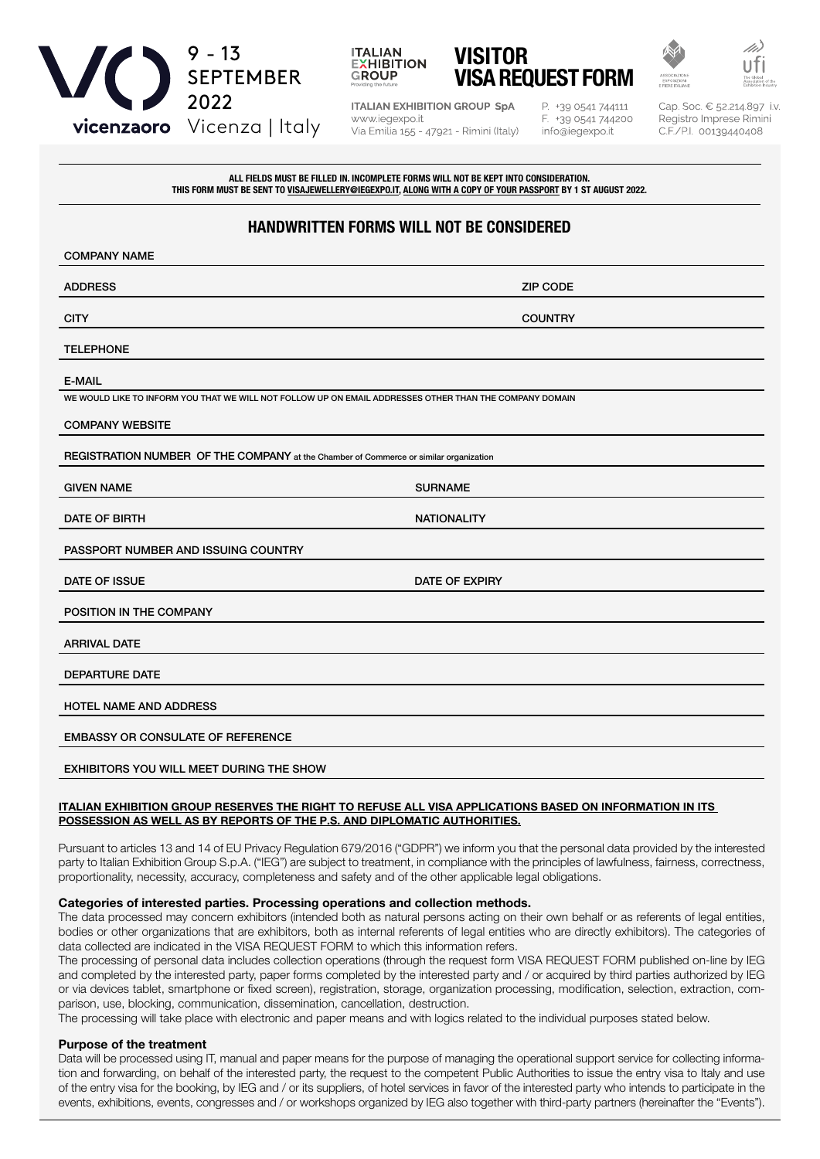





**ITALIAN EXHIBITION GROUP SpA** www.iegexpo.it Via Emilia 155 - 47921 - Rimini (Italy)

P. +39 0541 744111 F. +39 0541 744200 info@iegexpo.it

Cap. Soc. € 52.214.897 i.v Registro Imprese Rimini C.F./P.I. 00139440408

ALL FIELDS MUST BE FILLED IN. INCOMPLETE FORMS WILL NOT BE KEPT INTO CONSIDERATION. THIS FORM MUST BE SENT TO VISAJEWELLERY@IEGEXPO.IT, ALONG WITH A COPY OF YOUR PASSPORT BY 1 ST AUGUST 2022.

# HANDWRITTEN FORMS WILL NOT BE CONSIDERED

| <b>COMPANY NAME</b>                                                                                     |                    |  |
|---------------------------------------------------------------------------------------------------------|--------------------|--|
| <b>ADDRESS</b>                                                                                          | <b>ZIP CODE</b>    |  |
| <b>CITY</b>                                                                                             | <b>COUNTRY</b>     |  |
| <b>TELEPHONE</b>                                                                                        |                    |  |
| <b>E-MAIL</b>                                                                                           |                    |  |
| WE WOULD LIKE TO INFORM YOU THAT WE WILL NOT FOLLOW UP ON EMAIL ADDRESSES OTHER THAN THE COMPANY DOMAIN |                    |  |
| <b>COMPANY WEBSITE</b>                                                                                  |                    |  |
| REGISTRATION NUMBER OF THE COMPANY at the Chamber of Commerce or similar organization                   |                    |  |
| <b>GIVEN NAME</b>                                                                                       | <b>SURNAME</b>     |  |
| <b>DATE OF BIRTH</b>                                                                                    | <b>NATIONALITY</b> |  |
| PASSPORT NUMBER AND ISSUING COUNTRY                                                                     |                    |  |
| DATE OF ISSUE                                                                                           | DATE OF EXPIRY     |  |
| POSITION IN THE COMPANY                                                                                 |                    |  |
| <b>ARRIVAL DATE</b>                                                                                     |                    |  |
| <b>DEPARTURE DATE</b>                                                                                   |                    |  |
| <b>HOTEL NAME AND ADDRESS</b>                                                                           |                    |  |
| <b>EMBASSY OR CONSULATE OF REFERENCE</b>                                                                |                    |  |
| <b>EXHIBITORS YOU WILL MEET DURING THE SHOW</b>                                                         |                    |  |

# ITALIAN EXHIBITION GROUP RESERVES THE RIGHT TO REFUSE ALL VISA APPLICATIONS BASED ON INFORMATION IN ITS POSSESSION AS WELL AS BY REPORTS OF THE P.S. AND DIPLOMATIC AUTHORITIES.

Pursuant to articles 13 and 14 of EU Privacy Regulation 679/2016 ("GDPR") we inform you that the personal data provided by the interested party to Italian Exhibition Group S.p.A. ("IEG") are subject to treatment, in compliance with the principles of lawfulness, fairness, correctness, proportionality, necessity, accuracy, completeness and safety and of the other applicable legal obligations.

# Categories of interested parties. Processing operations and collection methods.

The data processed may concern exhibitors (intended both as natural persons acting on their own behalf or as referents of legal entities, bodies or other organizations that are exhibitors, both as internal referents of legal entities who are directly exhibitors). The categories of data collected are indicated in the VISA REQUEST FORM to which this information refers.

The processing of personal data includes collection operations (through the request form VISA REQUEST FORM published on-line by IEG and completed by the interested party, paper forms completed by the interested party and / or acquired by third parties authorized by IEG or via devices tablet, smartphone or fixed screen), registration, storage, organization processing, modification, selection, extraction, comparison, use, blocking, communication, dissemination, cancellation, destruction.

The processing will take place with electronic and paper means and with logics related to the individual purposes stated below.

# Purpose of the treatment

Data will be processed using IT, manual and paper means for the purpose of managing the operational support service for collecting information and forwarding, on behalf of the interested party, the request to the competent Public Authorities to issue the entry visa to Italy and use of the entry visa for the booking, by IEG and / or its suppliers, of hotel services in favor of the interested party who intends to participate in the events, exhibitions, events, congresses and / or workshops organized by IEG also together with third-party partners (hereinafter the "Events").